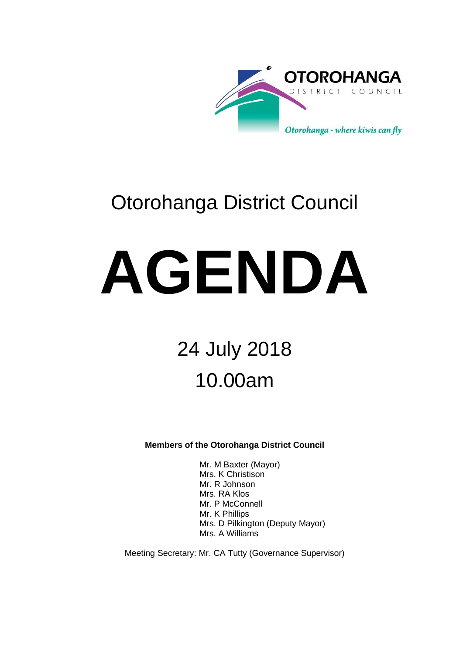

# Otorohanga District Council

# **AGENDA**

# 24 July 2018 10.00am

**Members of the Otorohanga District Council**

Mr. M Baxter (Mayor) Mrs. K Christison Mr. R Johnson Mrs. RA Klos Mr. P McConnell Mr. K Phillips Mrs. D Pilkington (Deputy Mayor) Mrs. A Williams

Meeting Secretary: Mr. CA Tutty (Governance Supervisor)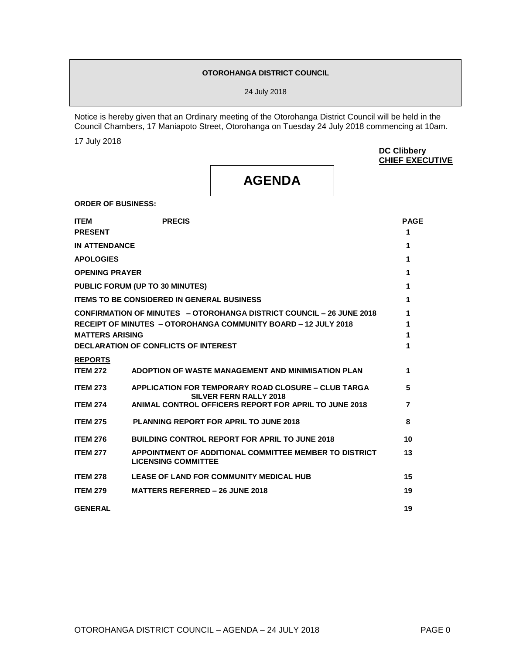#### **OTOROHANGA DISTRICT COUNCIL**

24 July 2018

Notice is hereby given that an Ordinary meeting of the Otorohanga District Council will be held in the Council Chambers, 17 Maniapoto Street, Otorohanga on Tuesday 24 July 2018 commencing at 10am.

17 July 2018

**DC Clibbery CHIEF EXECUTIVE**

## **AGENDA**

**ORDER OF BUSINESS:**

| <b>ITEM</b>            | <b>PRECIS</b>                                                                               | <b>PAGE</b>    |
|------------------------|---------------------------------------------------------------------------------------------|----------------|
| <b>PRESENT</b>         |                                                                                             | 1              |
| <b>IN ATTENDANCE</b>   |                                                                                             | 1              |
| <b>APOLOGIES</b>       |                                                                                             | 1              |
| <b>OPENING PRAYER</b>  |                                                                                             | 1              |
|                        | <b>PUBLIC FORUM (UP TO 30 MINUTES)</b>                                                      | 1              |
|                        | <b>ITEMS TO BE CONSIDERED IN GENERAL BUSINESS</b>                                           | 1              |
|                        | <b>CONFIRMATION OF MINUTES - OTOROHANGA DISTRICT COUNCIL - 26 JUNE 2018</b>                 | 1              |
|                        | RECEIPT OF MINUTES - OTOROHANGA COMMUNITY BOARD - 12 JULY 2018                              | 1              |
| <b>MATTERS ARISING</b> |                                                                                             | 1              |
|                        | <b>DECLARATION OF CONFLICTS OF INTEREST</b>                                                 | 1              |
| <b>REPORTS</b>         |                                                                                             |                |
| <b>ITEM 272</b>        | ADOPTION OF WASTE MANAGEMENT AND MINIMISATION PLAN                                          | 1              |
| <b>ITEM 273</b>        | <b>APPLICATION FOR TEMPORARY ROAD CLOSURE – CLUB TARGA</b><br><b>SILVER FERN RALLY 2018</b> | 5              |
| <b>ITEM 274</b>        | ANIMAL CONTROL OFFICERS REPORT FOR APRIL TO JUNE 2018                                       | $\overline{7}$ |
| <b>ITEM 275</b>        | PLANNING REPORT FOR APRIL TO JUNE 2018                                                      | 8              |
| <b>ITEM 276</b>        | <b>BUILDING CONTROL REPORT FOR APRIL TO JUNE 2018</b>                                       | 10             |
| <b>ITEM 277</b>        | APPOINTMENT OF ADDITIONAL COMMITTEE MEMBER TO DISTRICT<br><b>LICENSING COMMITTEE</b>        | 13             |
| <b>ITEM 278</b>        | LEASE OF LAND FOR COMMUNITY MEDICAL HUB                                                     | 15             |
| <b>ITEM 279</b>        | <b>MATTERS REFERRED - 26 JUNE 2018</b>                                                      | 19             |
| <b>GENERAL</b>         |                                                                                             | 19             |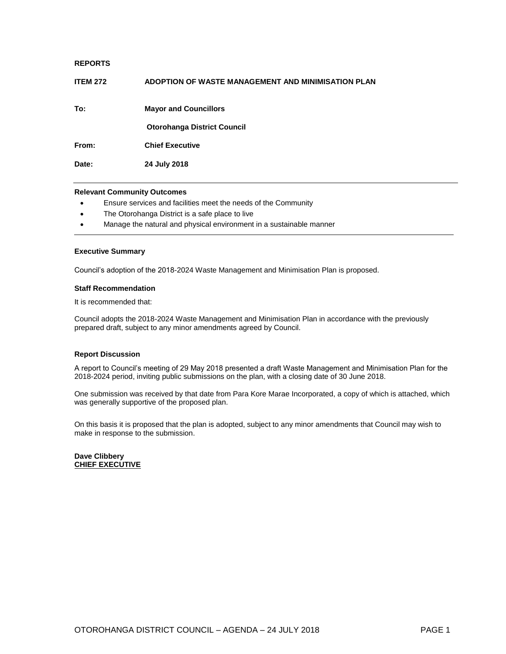| <b>REPORTS</b>  |                                                    |
|-----------------|----------------------------------------------------|
| <b>ITEM 272</b> | ADOPTION OF WASTE MANAGEMENT AND MINIMISATION PLAN |
| To:             | <b>Mayor and Councillors</b>                       |
|                 | <b>Otorohanga District Council</b>                 |
| From:           | <b>Chief Executive</b>                             |
| Date:           | 24 July 2018                                       |

#### **Relevant Community Outcomes**

- Ensure services and facilities meet the needs of the Community
- The Otorohanga District is a safe place to live
- Manage the natural and physical environment in a sustainable manner

#### **Executive Summary**

Council's adoption of the 2018-2024 Waste Management and Minimisation Plan is proposed.

#### **Staff Recommendation**

It is recommended that:

Council adopts the 2018-2024 Waste Management and Minimisation Plan in accordance with the previously prepared draft, subject to any minor amendments agreed by Council.

#### **Report Discussion**

A report to Council's meeting of 29 May 2018 presented a draft Waste Management and Minimisation Plan for the 2018-2024 period, inviting public submissions on the plan, with a closing date of 30 June 2018.

One submission was received by that date from Para Kore Marae Incorporated, a copy of which is attached, which was generally supportive of the proposed plan.

On this basis it is proposed that the plan is adopted, subject to any minor amendments that Council may wish to make in response to the submission.

**Dave Clibbery CHIEF EXECUTIVE**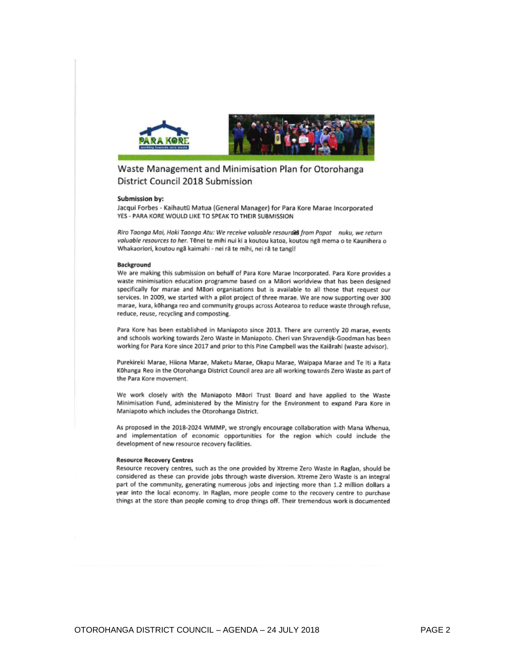

#### Waste Management and Minimisation Plan for Otorohanga District Council 2018 Submission

#### Submission by:

Jacqui Forbes - Kaihautū Matua (General Manager) for Para Kore Marae Incorporated YES - PARA KORE WOULD LIKE TO SPEAK TO THEIR SUBMISSION

Riro Taonga Mai, Hoki Taonga Atu: We receive valuable resourdes from Papat nuku, we return valuable resources to her. Tênei te mihi nui ki a koutou katoa, koutou ngã mema o te Kaunihera o Whakaoriori, koutou ngã kaimahi - nei rã te mihi, nei rã te tangi!

#### Background

We are making this submission on behalf of Para Kore Marae Incorporated. Para Kore provides a waste minimisation education programme based on a Mãori worldview that has been designed specifically for marae and Maori organisations but is available to all those that request our services. In 2009, we started with a pilot project of three marae. We are now supporting over 300 marae, kura, kohanga reo and community groups across Aotearoa to reduce waste through refuse, reduce, reuse, recycling and composting.

Para Kore has been established in Maniapoto since 2013. There are currently 20 marae, events and schools working towards Zero Waste in Maniapoto. Cheri van Shravendijk-Goodman has been working for Para Kore since 2017 and prior to this Pine Campbell was the Kaiarahi (waste advisor).

Purekireki Marae, Hiiona Marae, Maketu Marae, Okapu Marae, Waipapa Marae and Te Iti a Rata Köhanga Reo in the Otorohanga District Council area are all working towards Zero Waste as part of the Para Kore movement.

We work closely with the Maniapoto Maori Trust Board and have applied to the Waste Minimisation Fund, administered by the Ministry for the Environment to expand Para Kore in Maniapoto which includes the Otorohanga District.

As proposed in the 2018-2024 WMMP, we strongly encourage collaboration with Mana Whenua, and implementation of economic opportunities for the region which could include the development of new resource recovery facilities.

#### **Resource Recovery Centres**

Resource recovery centres, such as the one provided by Xtreme Zero Waste in Raglan, should be considered as these can provide jobs through waste diversion. Xtreme Zero Waste is an integral part of the community, generating numerous jobs and injecting more than 1.2 million dollars a year into the local economy. In Raglan, more people come to the recovery centre to purchase things at the store than people coming to drop things off. Their tremendous work is documented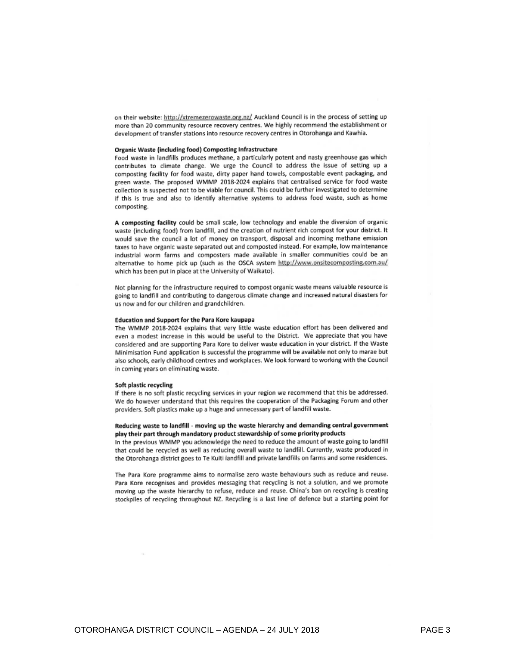on their website: http://xtremezerowaste.org.nz/ Auckland Council is in the process of setting up more than 20 community resource recovery centres. We highly recommend the establishment or development of transfer stations into resource recovery centres in Otorohanga and Kawhia.

#### Organic Waste (including food) Composting Infrastructure

Food waste in landfills produces methane, a particularly potent and nasty greenhouse gas which contributes to climate change. We urge the Council to address the issue of setting up a composting facility for food waste, dirty paper hand towels, compostable event packaging, and green waste. The proposed WMMP 2018-2024 explains that centralised service for food waste collection is suspected not to be viable for council. This could be further investigated to determine if this is true and also to identify alternative systems to address food waste, such as home composting.

A composting facility could be small scale, low technology and enable the diversion of organic waste (including food) from landfill, and the creation of nutrient rich compost for your district. It would save the council a lot of money on transport, disposal and incoming methane emission taxes to have organic waste separated out and composted instead. For example, low maintenance industrial worm farms and composters made available in smaller communities could be an alternative to home pick up (such as the OSCA system http://www.onsitecomposting.com.au/ which has been put in place at the University of Waikato).

Not planning for the infrastructure required to compost organic waste means valuable resource is going to landfill and contributing to dangerous climate change and increased natural disasters for us now and for our children and grandchildren.

#### Education and Support for the Para Kore kaupapa

The WMMP 2018-2024 explains that very little waste education effort has been delivered and even a modest increase in this would be useful to the District. We appreciate that you have considered and are supporting Para Kore to deliver waste education in your district. If the Waste Minimisation Fund application is successful the programme will be available not only to marae but also schools, early childhood centres and workplaces. We look forward to working with the Council in coming years on eliminating waste.

#### Soft plastic recycling

If there is no soft plastic recycling services in your region we recommend that this be addressed. We do however understand that this requires the cooperation of the Packaging Forum and other providers. Soft plastics make up a huge and unnecessary part of landfill waste.

#### Reducing waste to landfill - moving up the waste hierarchy and demanding central government play their part through mandatory product stewardship of some priority products

In the previous WMMP you acknowledge the need to reduce the amount of waste going to landfill that could be recycled as well as reducing overall waste to landfill. Currently, waste produced in the Otorohanga district goes to Te Kuiti landfill and private landfills on farms and some residences.

The Para Kore programme aims to normalise zero waste behaviours such as reduce and reuse. Para Kore recognises and provides messaging that recycling is not a solution, and we promote moving up the waste hierarchy to refuse, reduce and reuse. China's ban on recycling is creating stockpiles of recycling throughout NZ. Recycling is a last line of defence but a starting point for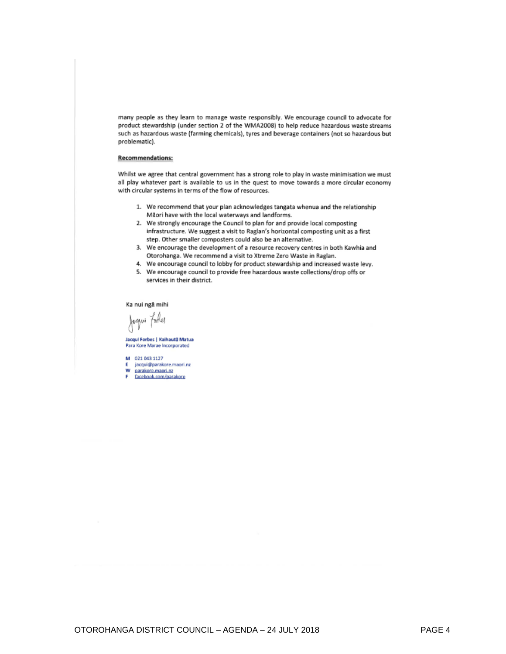many people as they learn to manage waste responsibly. We encourage council to advocate for product stewardship (under section 2 of the WMA2008) to help reduce hazardous waste streams such as hazardous waste (farming chemicals), tyres and beverage containers (not so hazardous but problematic).

#### **Recommendations:**

Whilst we agree that central government has a strong role to play in waste minimisation we must all play whatever part is available to us in the quest to move towards a more circular economy with circular systems in terms of the flow of resources.

- 1. We recommend that your plan acknowledges tangata whenua and the relationship Mãori have with the local waterways and landforms.
- 2. We strongly encourage the Council to plan for and provide local composting infrastructure. We suggest a visit to Raglan's horizontal composting unit as a first step. Other smaller composters could also be an alternative.
- 3. We encourage the development of a resource recovery centres in both Kawhia and Otorohanga. We recommend a visit to Xtreme Zero Waste in Raglan.
- 4. We encourage council to lobby for product stewardship and increased waste levy.
- 5. We encourage council to provide free hazardous waste collections/drop offs or services in their district.

Ka nui ngã mihi

faqui Forker

Jacqui Forbes | Kaihautü Matua Para Kore Marae Incorporated

M 0210431127 jacqui@parakore.maori.nz

parakore.maori.nz

facebook.com/parakore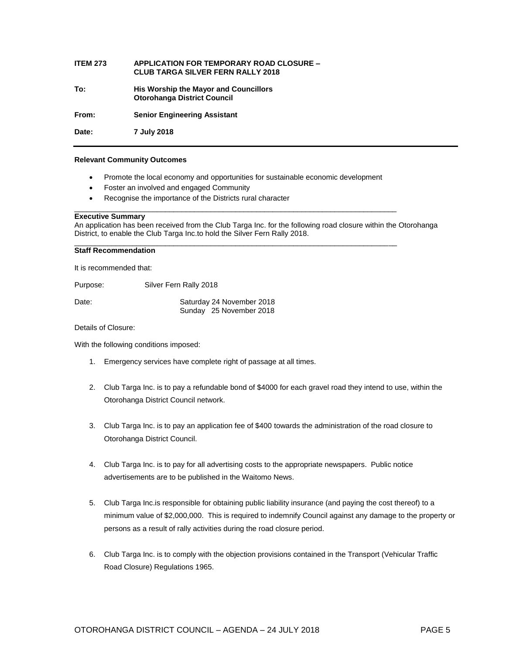#### **ITEM 273 APPLICATION FOR TEMPORARY ROAD CLOSURE – CLUB TARGA SILVER FERN RALLY 2018 To: His Worship the Mayor and Councillors Otorohanga District Council From: Senior Engineering Assistant Date: 7 July 2018**

#### **Relevant Community Outcomes**

Promote the local economy and opportunities for sustainable economic development

\_\_\_\_\_\_\_\_\_\_\_\_\_\_\_\_\_\_\_\_\_\_\_\_\_\_\_\_\_\_\_\_\_\_\_\_\_\_\_\_\_\_\_\_\_\_\_\_\_\_\_\_\_\_\_\_\_\_\_\_\_\_\_\_\_\_\_\_\_\_\_\_\_\_\_\_\_\_

\_\_\_\_\_\_\_\_\_\_\_\_\_\_\_\_\_\_\_\_\_\_\_\_\_\_\_\_\_\_\_\_\_\_\_\_\_\_\_\_\_\_\_\_\_\_\_\_\_\_\_\_\_\_\_\_\_\_\_\_\_\_\_\_\_\_\_\_\_\_\_\_\_\_\_\_\_\_

- Foster an involved and engaged Community
- Recognise the importance of the Districts rural character

#### **Executive Summary**

An application has been received from the Club Targa Inc. for the following road closure within the Otorohanga District, to enable the Club Targa Inc.to hold the Silver Fern Rally 2018.

#### **Staff Recommendation**

It is recommended that:

| Silver Fern Rally 2018<br>Purpose: |                                                      |  |
|------------------------------------|------------------------------------------------------|--|
| Date:                              | Saturday 24 November 2018<br>Sunday 25 November 2018 |  |

Details of Closure:

With the following conditions imposed:

- 1. Emergency services have complete right of passage at all times.
- 2. Club Targa Inc. is to pay a refundable bond of \$4000 for each gravel road they intend to use, within the Otorohanga District Council network.
- 3. Club Targa Inc. is to pay an application fee of \$400 towards the administration of the road closure to Otorohanga District Council.
- 4. Club Targa Inc. is to pay for all advertising costs to the appropriate newspapers. Public notice advertisements are to be published in the Waitomo News.
- 5. Club Targa Inc.is responsible for obtaining public liability insurance (and paying the cost thereof) to a minimum value of \$2,000,000. This is required to indemnify Council against any damage to the property or persons as a result of rally activities during the road closure period.
- 6. Club Targa Inc. is to comply with the objection provisions contained in the Transport (Vehicular Traffic Road Closure) Regulations 1965.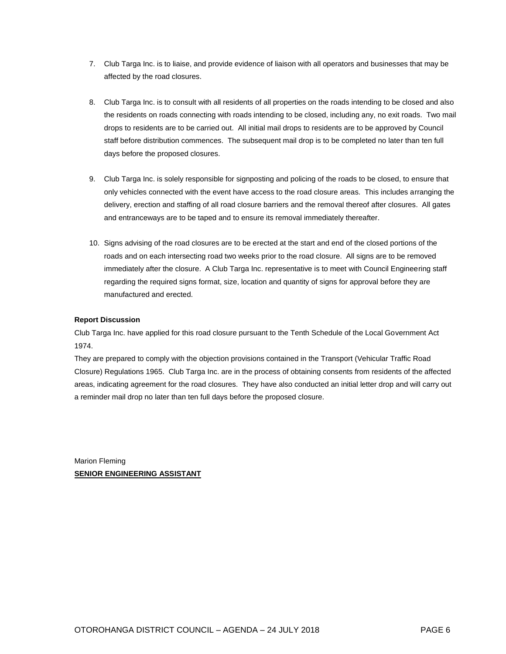- 7. Club Targa Inc. is to liaise, and provide evidence of liaison with all operators and businesses that may be affected by the road closures.
- 8. Club Targa Inc. is to consult with all residents of all properties on the roads intending to be closed and also the residents on roads connecting with roads intending to be closed, including any, no exit roads. Two mail drops to residents are to be carried out. All initial mail drops to residents are to be approved by Council staff before distribution commences. The subsequent mail drop is to be completed no later than ten full days before the proposed closures.
- 9. Club Targa Inc. is solely responsible for signposting and policing of the roads to be closed, to ensure that only vehicles connected with the event have access to the road closure areas. This includes arranging the delivery, erection and staffing of all road closure barriers and the removal thereof after closures. All gates and entranceways are to be taped and to ensure its removal immediately thereafter.
- 10. Signs advising of the road closures are to be erected at the start and end of the closed portions of the roads and on each intersecting road two weeks prior to the road closure. All signs are to be removed immediately after the closure. A Club Targa Inc. representative is to meet with Council Engineering staff regarding the required signs format, size, location and quantity of signs for approval before they are manufactured and erected.

#### **Report Discussion**

Club Targa Inc. have applied for this road closure pursuant to the Tenth Schedule of the Local Government Act 1974.

They are prepared to comply with the objection provisions contained in the Transport (Vehicular Traffic Road Closure) Regulations 1965. Club Targa Inc. are in the process of obtaining consents from residents of the affected areas, indicating agreement for the road closures. They have also conducted an initial letter drop and will carry out a reminder mail drop no later than ten full days before the proposed closure.

Marion Fleming **SENIOR ENGINEERING ASSISTANT**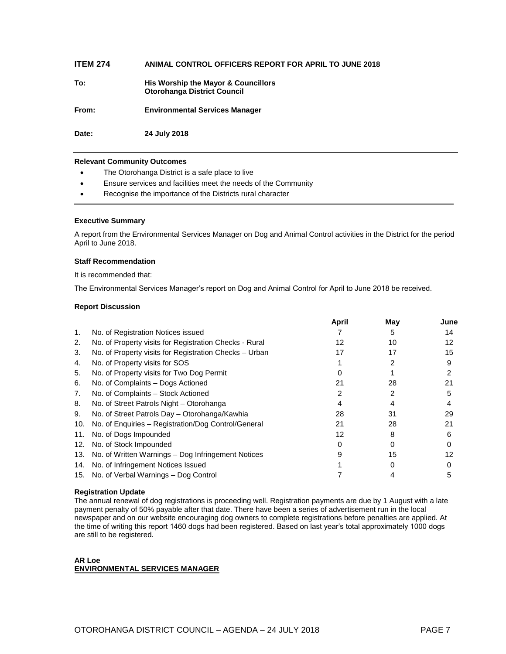| <b>ITEM 274</b> | ANIMAL CONTROL OFFICERS REPORT FOR APRIL TO JUNE 2018                     |
|-----------------|---------------------------------------------------------------------------|
| To:             | His Worship the Mayor & Councillors<br><b>Otorohanga District Council</b> |
| From:           | <b>Environmental Services Manager</b>                                     |
| Date:           | 24 July 2018                                                              |

#### **Relevant Community Outcomes**

- The Otorohanga District is a safe place to live
- Ensure services and facilities meet the needs of the Community
- Recognise the importance of the Districts rural character

#### **Executive Summary**

A report from the Environmental Services Manager on Dog and Animal Control activities in the District for the period April to June 2018.

#### **Staff Recommendation**

It is recommended that:

The Environmental Services Manager's report on Dog and Animal Control for April to June 2018 be received.

#### **Report Discussion**

|     |                                                        | April | May | June |
|-----|--------------------------------------------------------|-------|-----|------|
| 1.  | No. of Registration Notices issued                     |       | 5   | 14   |
| 2.  | No. of Property visits for Registration Checks - Rural | 12    | 10  | 12   |
| 3.  | No. of Property visits for Registration Checks - Urban | 17    | 17  | 15   |
| 4.  | No. of Property visits for SOS                         |       |     | 9    |
| 5.  | No. of Property visits for Two Dog Permit              |       |     |      |
| 6.  | No. of Complaints - Dogs Actioned                      | 21    | 28  | 21   |
| 7.  | No. of Complaints - Stock Actioned                     |       | 2   | 5    |
| 8.  | No. of Street Patrols Night - Otorohanga               |       |     |      |
| 9.  | No. of Street Patrols Day - Otorohanga/Kawhia          | 28    | 31  | 29   |
| 10. | No. of Enquiries - Registration/Dog Control/General    | 21    | 28  | 21   |
| 11. | No. of Dogs Impounded                                  | 12    | 8   | 6    |
| 12. | No. of Stock Impounded                                 |       |     |      |
| 13. | No. of Written Warnings - Dog Infringement Notices     |       | 15  | 12   |
| 14. | No. of Infringement Notices Issued                     |       |     |      |
| 15. | No. of Verbal Warnings - Dog Control                   |       |     | 5    |

#### **Registration Update**

The annual renewal of dog registrations is proceeding well. Registration payments are due by 1 August with a late payment penalty of 50% payable after that date. There have been a series of advertisement run in the local newspaper and on our website encouraging dog owners to complete registrations before penalties are applied. At the time of writing this report 1460 dogs had been registered. Based on last year's total approximately 1000 dogs are still to be registered.

#### **AR Loe ENVIRONMENTAL SERVICES MANAGER**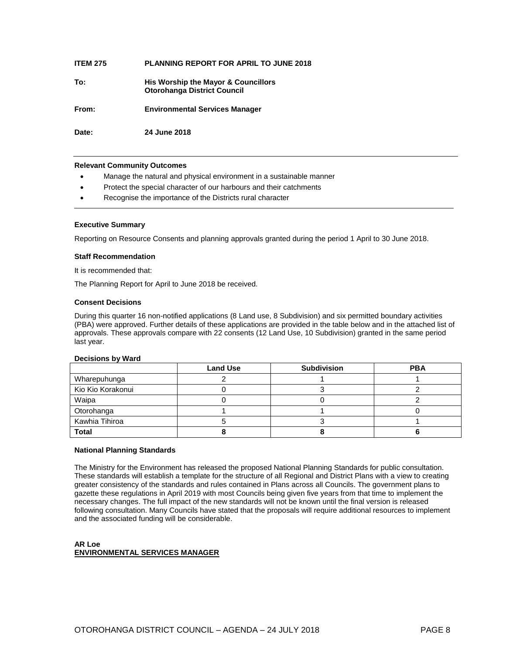#### **ITEM 275 PLANNING REPORT FOR APRIL TO JUNE 2018**

**To: His Worship the Mayor & Councillors Otorohanga District Council**

**From: Environmental Services Manager**

**Date: 24 June 2018**

#### **Relevant Community Outcomes**

- Manage the natural and physical environment in a sustainable manner
- Protect the special character of our harbours and their catchments
- Recognise the importance of the Districts rural character

#### **Executive Summary**

Reporting on Resource Consents and planning approvals granted during the period 1 April to 30 June 2018.

#### **Staff Recommendation**

It is recommended that:

The Planning Report for April to June 2018 be received.

#### **Consent Decisions**

During this quarter 16 non-notified applications (8 Land use, 8 Subdivision) and six permitted boundary activities (PBA) were approved. Further details of these applications are provided in the table below and in the attached list of approvals. These approvals compare with 22 consents (12 Land Use, 10 Subdivision) granted in the same period last year.

#### **Decisions by Ward**

|                   | <b>Land Use</b> | <b>Subdivision</b> | <b>PBA</b> |
|-------------------|-----------------|--------------------|------------|
| Wharepuhunga      |                 |                    |            |
| Kio Kio Korakonui |                 |                    |            |
| Waipa             |                 |                    |            |
| Otorohanga        |                 |                    |            |
| Kawhia Tihiroa    |                 |                    |            |
| <b>Total</b>      |                 |                    |            |

#### **National Planning Standards**

The Ministry for the Environment has released the proposed National Planning Standards for public consultation. These standards will establish a template for the structure of all Regional and District Plans with a view to creating greater consistency of the standards and rules contained in Plans across all Councils. The government plans to gazette these regulations in April 2019 with most Councils being given five years from that time to implement the necessary changes. The full impact of the new standards will not be known until the final version is released following consultation. Many Councils have stated that the proposals will require additional resources to implement and the associated funding will be considerable.

#### **AR Loe ENVIRONMENTAL SERVICES MANAGER**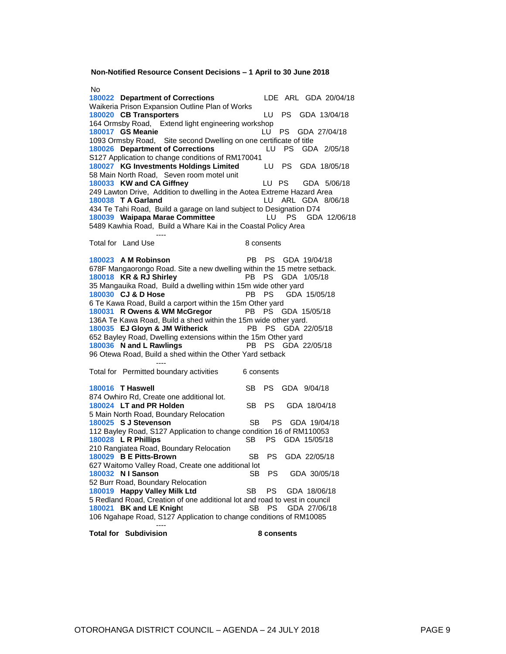**Non-Notified Resource Consent Decisions – 1 April to 30 June 2018**

not a series and the No **[180022](http://ncs-unix.otodc.govt.nz/cgi-bin/rg6/rg6ep?180022) Department of Corrections** LDE ARL GDA 20/04/18 Waikeria Prison Expansion Outline Plan of Works **[180020](http://ncs-unix.otodc.govt.nz/cgi-bin/rg6/rg6ep?180020) CB Transporters** LU PS GDA 13/04/18 164 Ormsby Road, Extend light engineering workshop<br>180017 GS Meanie LU **[180017](http://ncs-unix.otodc.govt.nz/cgi-bin/rg6/rg6ep?180017) GS Meanie** LU PS GDA 27/04/18 1093 Ormsby Road, Site second Dwelling on one certificate of title<br>180026 Department of Corrections LUPS GDA 2/05/18 **[180026](http://ncs-unix.otodc.govt.nz/cgi-bin/rg6/rg6ep?180026) Department of Corrections** S127 Application to change conditions of RM170041 **[180027](http://ncs-unix.otodc.govt.nz/cgi-bin/rg6/rg6ep?180027) KG Investments Holdings Limited** LU PS GDA 18/05/18 58 Main North Road, Seven room motel unit **[180033](http://ncs-unix.otodc.govt.nz/cgi-bin/rg6/rg6ep?180033) KW and CA Giffney** LU PS GDA 5/06/18 249 Lawton Drive, Addition to dwelling in the Aotea Extreme Hazard Area **[180038](http://ncs-unix.otodc.govt.nz/cgi-bin/rg6/rg6ep?180038) T A Garland** LU ARL GDA 8/06/18 434 Te Tahi Road, Build a garage on land subject to Designation D74<br>**180039 Waipapa Marae Committee** LU PS GDA 12/06/18 **[180039](http://ncs-unix.otodc.govt.nz/cgi-bin/rg6/rg6ep?180039) Waipapa Marae Committee** 5489 Kawhia Road, Build a Whare Kai in the Coastal Policy Area ---- Total for Land Use 8 consents **[180023](http://ncs-unix.otodc.govt.nz/cgi-bin/rg6/rg6ep?180023) A M Robinson** PB PS GDA 19/04/18 678F Mangaorongo Road. Site a new dwelling within the 15 metre setback. **[180018](http://ncs-unix.otodc.govt.nz/cgi-bin/rg6/rg6ep?180018) KR & RJ Shirley** PB PS GDA 1/05/18 35 Mangauika Road, Build a dwelling within 15m wide other yard<br>180030 CJ & D Hose PB PS GDA **[180030](http://ncs-unix.otodc.govt.nz/cgi-bin/rg6/rg6ep?180030) CJ & D Hose** PB PS GDA 15/05/18 6 Te Kawa Road, Build a carport within the 15m Other yard **[180031](http://ncs-unix.otodc.govt.nz/cgi-bin/rg6/rg6ep?180031) R Owens & WM McGregor** PB PS GDA 15/05/18 136A Te Kawa Road, Build a shed within the 15m wide other yard. **[180035](http://ncs-unix.otodc.govt.nz/cgi-bin/rg6/rg6ep?180035) EJ Gloyn & JM Witherick** PB PS GDA 22/05/18 652 Bayley Road, Dwelling extensions within the 15m Other yard<br>**180036 N and L Rawlings** PB PS GDA 22/05/18 **[180036](http://ncs-unix.otodc.govt.nz/cgi-bin/rg6/rg6ep?180036) N and L Rawlings** 96 Otewa Road, Build a shed within the Other Yard setback ---- Total for Permitted boundary activities 6 consents **[180016](http://ncs-unix.otodc.govt.nz/cgi-bin/rg6/rg6ep?180016) T Haswell**  SB PS GDA 9/04/18 874 Owhiro Rd, Create one additional lot. **[180024](http://ncs-unix.otodc.govt.nz/cgi-bin/rg6/rg6ep?180024) LT and PR Holden** SB PS GDA 18/04/18 5 Main North Road, Boundary Relocation **[180025](http://ncs-unix.otodc.govt.nz/cgi-bin/rg6/rg6ep?180025) S J Stevenson** SB PS GDA 19/04/18 112 Bayley Road, S127 Application to change condition 16 of RM110053 **[180028](http://ncs-unix.otodc.govt.nz/cgi-bin/rg6/rg6ep?180028) L R Phillips** SB PS GDA 15/05/18 210 Rangiatea Road, Boundary Relocation **[180029](http://ncs-unix.otodc.govt.nz/cgi-bin/rg6/rg6ep?180029) B E Pitts-Brown** SB PS GDA 22/05/18 627 Waitomo Valley Road, Create one additional lot<br>180032 N I Sanson<br>58 PS **[180032](http://ncs-unix.otodc.govt.nz/cgi-bin/rg6/rg6ep?180032) N I Sanson** SB PS GDA 30/05/18 52 Burr Road, Boundary Relocation **[180019](http://ncs-unix.otodc.govt.nz/cgi-bin/rg6/rg6ep?180019) Happy Valley Milk Ltd** SB PS GDA 18/06/18 5 Redland Road, Creation of one additional lot and road to vest in council<br>180021 BK and LE Knight SB PS GDA 27/06/18 **[180021](http://ncs-unix.otodc.govt.nz/cgi-bin/rg6/rg6ep?180021) BK and LE Knight** 106 Ngahape Road, S127 Application to change conditions of RM10085 ----

**Total for Subdivision 6 consents**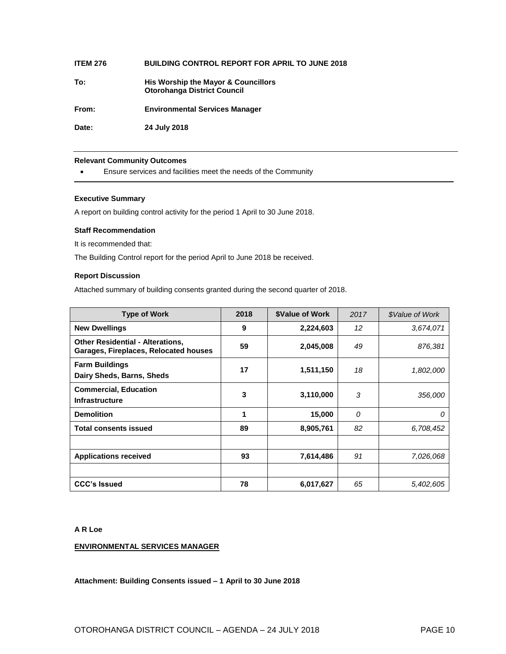| <b>ITEM 276</b> | <b>BUILDING CONTROL REPORT FOR APRIL TO JUNE 2018</b>                     |
|-----------------|---------------------------------------------------------------------------|
| To:             | His Worship the Mayor & Councillors<br><b>Otorohanga District Council</b> |
| From:           | <b>Environmental Services Manager</b>                                     |
| Date:           | 24 July 2018                                                              |

#### **Relevant Community Outcomes**

Ensure services and facilities meet the needs of the Community

#### **Executive Summary**

A report on building control activity for the period 1 April to 30 June 2018.

#### **Staff Recommendation**

It is recommended that:

The Building Control report for the period April to June 2018 be received.

#### **Report Discussion**

Attached summary of building consents granted during the second quarter of 2018.

| <b>Type of Work</b>                                                              | 2018 | <b>\$Value of Work</b> | 2017 | \$Value of Work |
|----------------------------------------------------------------------------------|------|------------------------|------|-----------------|
| <b>New Dwellings</b>                                                             | 9    | 2,224,603              | 12   | 3,674,071       |
| <b>Other Residential - Alterations,</b><br>Garages, Fireplaces, Relocated houses | 59   | 2,045,008              | 49   | 876,381         |
| <b>Farm Buildings</b><br>Dairy Sheds, Barns, Sheds                               | 17   | 1,511,150              | 18   | 1,802,000       |
| <b>Commercial, Education</b><br><b>Infrastructure</b>                            | 3    | 3,110,000              | 3    | 356,000         |
| <b>Demolition</b>                                                                | 1    | 15,000                 | 0    | 0               |
| <b>Total consents issued</b>                                                     | 89   | 8,905,761              | 82   | 6,708,452       |
|                                                                                  |      |                        |      |                 |
| <b>Applications received</b>                                                     | 93   | 7,614,486              | 91   | 7,026,068       |
|                                                                                  |      |                        |      |                 |
| <b>CCC's Issued</b>                                                              | 78   | 6,017,627              | 65   | 5,402,605       |

#### **A R Loe**

#### **ENVIRONMENTAL SERVICES MANAGER**

**Attachment: Building Consents issued – 1 April to 30 June 2018**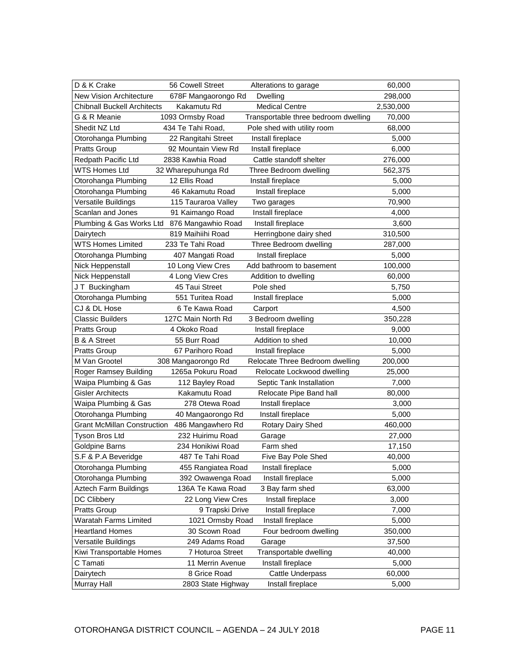| D & K Crake                        | 56 Cowell Street    | Alterations to garage                | 60,000    |
|------------------------------------|---------------------|--------------------------------------|-----------|
| <b>New Vision Architecture</b>     | 678F Mangaorongo Rd | Dwelling                             | 298,000   |
| <b>Chibnall Buckell Architects</b> | Kakamutu Rd         | <b>Medical Centre</b>                | 2,530,000 |
| G & R Meanie                       | 1093 Ormsby Road    | Transportable three bedroom dwelling | 70,000    |
| Shedit NZ Ltd                      | 434 Te Tahi Road,   | Pole shed with utility room          | 68,000    |
| Otorohanga Plumbing                | 22 Rangitahi Street | Install fireplace                    | 5,000     |
| <b>Pratts Group</b>                | 92 Mountain View Rd | Install fireplace                    | 6,000     |
| Redpath Pacific Ltd                | 2838 Kawhia Road    | Cattle standoff shelter              | 276,000   |
| <b>WTS Homes Ltd</b>               | 32 Wharepuhunga Rd  | Three Bedroom dwelling               | 562,375   |
| Otorohanga Plumbing                | 12 Ellis Road       | Install fireplace                    | 5,000     |
| Otorohanga Plumbing                | 46 Kakamutu Road    | Install fireplace                    | 5,000     |
| Versatile Buildings                | 115 Tauraroa Valley | Two garages                          | 70,900    |
| Scanlan and Jones                  | 91 Kaimango Road    | Install fireplace                    | 4,000     |
| Plumbing & Gas Works Ltd           | 876 Mangawhio Road  | Install fireplace                    | 3,600     |
| Dairytech                          | 819 Maihiihi Road   | Herringbone dairy shed               | 310,500   |
| <b>WTS Homes Limited</b>           | 233 Te Tahi Road    | Three Bedroom dwelling               | 287,000   |
| Otorohanga Plumbing                | 407 Mangati Road    | Install fireplace                    | 5,000     |
| Nick Heppenstall                   | 10 Long View Cres   | Add bathroom to basement             | 100,000   |
| Nick Heppenstall                   | 4 Long View Cres    | Addition to dwelling                 | 60,000    |
| JT Buckingham                      | 45 Taui Street      | Pole shed                            | 5,750     |
| Otorohanga Plumbing                | 551 Turitea Road    | Install fireplace                    | 5,000     |
| CJ & DL Hose                       | 6 Te Kawa Road      | Carport                              | 4,500     |
| <b>Classic Builders</b>            | 127C Main North Rd  | 3 Bedroom dwelling                   | 350,228   |
| Pratts Group                       | 4 Okoko Road        | Install fireplace                    | 9,000     |
| <b>B &amp; A Street</b>            | 55 Burr Road        | Addition to shed                     | 10,000    |
| <b>Pratts Group</b>                | 67 Parihoro Road    | Install fireplace                    | 5,000     |
| M Van Grootel                      | 308 Mangaorongo Rd  | Relocate Three Bedroom dwelling      | 200,000   |
| Roger Ramsey Building              | 1265a Pokuru Road   | Relocate Lockwood dwelling           | 25,000    |
| Waipa Plumbing & Gas               | 112 Bayley Road     | Septic Tank Installation             | 7,000     |
| <b>Gisler Architects</b>           | Kakamutu Road       | Relocate Pipe Band hall              | 80,000    |
| Waipa Plumbing & Gas               | 278 Otewa Road      | Install fireplace                    | 3,000     |
| Otorohanga Plumbing                | 40 Mangaorongo Rd   | Install fireplace                    | 5,000     |
| <b>Grant McMillan Construction</b> | 486 Mangawhero Rd   | Rotary Dairy Shed                    | 460,000   |
| Tyson Bros Ltd                     | 232 Huirimu Road    | Garage                               | 27,000    |
| Goldpine Barns                     | 234 Honikiwi Road   | Farm shed                            | 17,150    |
| S.F & P.A Beveridge                | 487 Te Tahi Road    | Five Bay Pole Shed                   | 40,000    |
| Otorohanga Plumbing                | 455 Rangiatea Road  | Install fireplace                    | 5,000     |
| Otorohanga Plumbing                | 392 Owawenga Road   | Install fireplace                    | 5,000     |
| Aztech Farm Buildings              | 136A Te Kawa Road   | 3 Bay farm shed                      | 63,000    |
| DC Clibbery                        | 22 Long View Cres   | Install fireplace                    | 3,000     |
| <b>Pratts Group</b>                | 9 Trapski Drive     | Install fireplace                    | 7,000     |
| <b>Waratah Farms Limited</b>       | 1021 Ormsby Road    | Install fireplace                    | 5,000     |
| <b>Heartland Homes</b>             | 30 Scown Road       | Four bedroom dwelling                | 350,000   |
| Versatile Buildings                | 249 Adams Road      | Garage                               | 37,500    |
| Kiwi Transportable Homes           | 7 Hoturoa Street    | Transportable dwelling               | 40,000    |
| C Tamati                           | 11 Merrin Avenue    | Install fireplace                    | 5,000     |
| Dairytech                          | 8 Grice Road        | Cattle Underpass                     | 60,000    |
| Murray Hall                        | 2803 State Highway  | Install fireplace                    | 5,000     |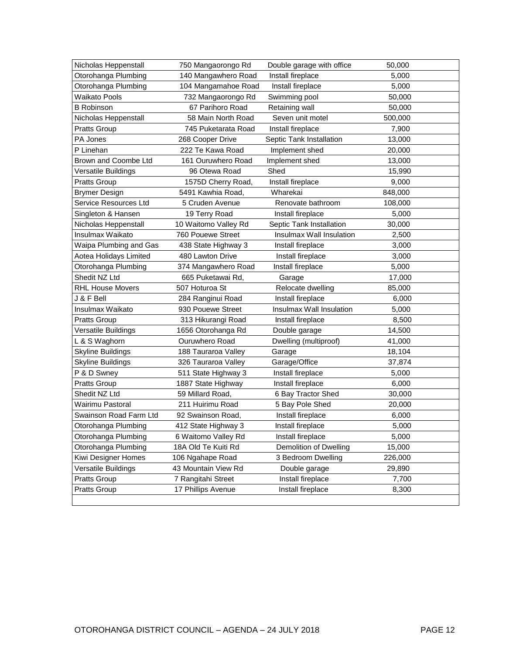| Nicholas Heppenstall     | 750 Mangaorongo Rd   | Double garage with office | 50,000  |
|--------------------------|----------------------|---------------------------|---------|
| Otorohanga Plumbing      | 140 Mangawhero Road  | Install fireplace         | 5,000   |
| Otorohanga Plumbing      | 104 Mangamahoe Road  | Install fireplace         | 5,000   |
| Waikato Pools            | 732 Mangaorongo Rd   | Swimming pool             | 50,000  |
| <b>B</b> Robinson        | 67 Parihoro Road     | Retaining wall            | 50,000  |
| Nicholas Heppenstall     | 58 Main North Road   | Seven unit motel          | 500,000 |
| Pratts Group             | 745 Puketarata Road  | Install fireplace         | 7,900   |
| PA Jones                 | 268 Cooper Drive     | Septic Tank Installation  | 13,000  |
| P Linehan                | 222 Te Kawa Road     | Implement shed            | 20,000  |
| Brown and Coombe Ltd     | 161 Ouruwhero Road   | Implement shed            | 13,000  |
| Versatile Buildings      | 96 Otewa Road        | Shed                      | 15,990  |
| Pratts Group             | 1575D Cherry Road,   | Install fireplace         | 9,000   |
| <b>Brymer Design</b>     | 5491 Kawhia Road,    | Wharekai                  | 848,000 |
| Service Resources Ltd    | 5 Cruden Avenue      | Renovate bathroom         | 108,000 |
| Singleton & Hansen       | 19 Terry Road        | Install fireplace         | 5,000   |
| Nicholas Heppenstall     | 10 Waitomo Valley Rd | Septic Tank Installation  | 30,000  |
| Insulmax Waikato         | 760 Pouewe Street    | Insulmax Wall Insulation  | 2,500   |
| Waipa Plumbing and Gas   | 438 State Highway 3  | Install fireplace         | 3,000   |
| Aotea Holidays Limited   | 480 Lawton Drive     | Install fireplace         | 3,000   |
| Otorohanga Plumbing      | 374 Mangawhero Road  | Install fireplace         | 5,000   |
| Shedit NZ Ltd            | 665 Puketawai Rd,    | Garage                    | 17,000  |
| <b>RHL House Movers</b>  | 507 Hoturoa St       | Relocate dwelling         | 85,000  |
| J & F Bell               | 284 Ranginui Road    | Install fireplace         | 6,000   |
| Insulmax Waikato         | 930 Pouewe Street    | Insulmax Wall Insulation  | 5,000   |
| <b>Pratts Group</b>      | 313 Hikurangi Road   | Install fireplace         | 8,500   |
| Versatile Buildings      | 1656 Otorohanga Rd   | Double garage             | 14,500  |
| L & S Waghorn            | Ouruwhero Road       | Dwelling (multiproof)     | 41,000  |
| <b>Skyline Buildings</b> | 188 Tauraroa Valley  | Garage                    | 18,104  |
| Skyline Buildings        | 326 Tauraroa Valley  | Garage/Office             | 37,874  |
| P & D Swney              | 511 State Highway 3  | Install fireplace         | 5,000   |
| Pratts Group             | 1887 State Highway   | Install fireplace         | 6,000   |
| Shedit NZ Ltd            | 59 Millard Road,     | 6 Bay Tractor Shed        | 30,000  |
| Wairimu Pastoral         | 211 Huirimu Road     | 5 Bay Pole Shed           | 20,000  |
| Swainson Road Farm Ltd   | 92 Swainson Road,    | Install fireplace         | 6,000   |
| Otorohanga Plumbing      | 412 State Highway 3  | Install fireplace         | 5,000   |
| Otorohanga Plumbing      | 6 Waitomo Valley Rd  | Install fireplace         | 5,000   |
| Otorohanga Plumbing      | 18A Old Te Kuiti Rd  | Demolition of Dwelling    | 15,000  |
| Kiwi Designer Homes      | 106 Ngahape Road     | 3 Bedroom Dwelling        | 226,000 |
| Versatile Buildings      | 43 Mountain View Rd  | Double garage             | 29,890  |
| <b>Pratts Group</b>      | 7 Rangitahi Street   | Install fireplace         | 7,700   |
| <b>Pratts Group</b>      | 17 Phillips Avenue   | Install fireplace         | 8,300   |
|                          |                      |                           |         |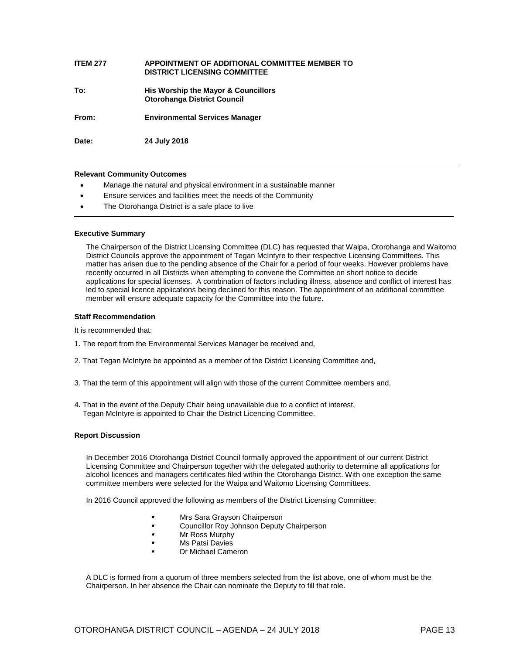### **ITEM 277 APPOINTMENT OF ADDITIONAL COMMITTEE MEMBER TO DISTRICT LICENSING COMMITTEE To: His Worship the Mayor & Councillors Otorohanga District Council From: Environmental Services Manager Date: 24 July 2018**

#### **Relevant Community Outcomes**

- Manage the natural and physical environment in a sustainable manner
- Ensure services and facilities meet the needs of the Community
- The Otorohanga District is a safe place to live

#### **Executive Summary**

The Chairperson of the District Licensing Committee (DLC) has requested that Waipa, Otorohanga and Waitomo District Councils approve the appointment of Tegan McIntyre to their respective Licensing Committees. This matter has arisen due to the pending absence of the Chair for a period of four weeks. However problems have recently occurred in all Districts when attempting to convene the Committee on short notice to decide applications for special licenses. A combination of factors including illness, absence and conflict of interest has led to special licence applications being declined for this reason. The appointment of an additional committee member will ensure adequate capacity for the Committee into the future.

#### **Staff Recommendation**

It is recommended that:

- 1. The report from the Environmental Services Manager be received and,
- 2. That Tegan McIntyre be appointed as a member of the District Licensing Committee and,
- 3. That the term of this appointment will align with those of the current Committee members and,
- 4**.** That in the event of the Deputy Chair being unavailable due to a conflict of interest, Tegan McIntyre is appointed to Chair the District Licencing Committee.

#### **Report Discussion**

In December 2016 Otorohanga District Council formally approved the appointment of our current District Licensing Committee and Chairperson together with the delegated authority to determine all applications for alcohol licences and managers certificates filed within the Otorohanga District. With one exception the same committee members were selected for the Waipa and Waitomo Licensing Committees.

In 2016 Council approved the following as members of the District Licensing Committee:

- $\blacksquare$ Mrs Sara Grayson Chairperson
- $\blacksquare$ Councillor Roy Johnson Deputy Chairperson
- s Mr Ross Murphy
- s Ms Patsi Davies
- s Dr Michael Cameron

A DLC is formed from a quorum of three members selected from the list above, one of whom must be the Chairperson. In her absence the Chair can nominate the Deputy to fill that role.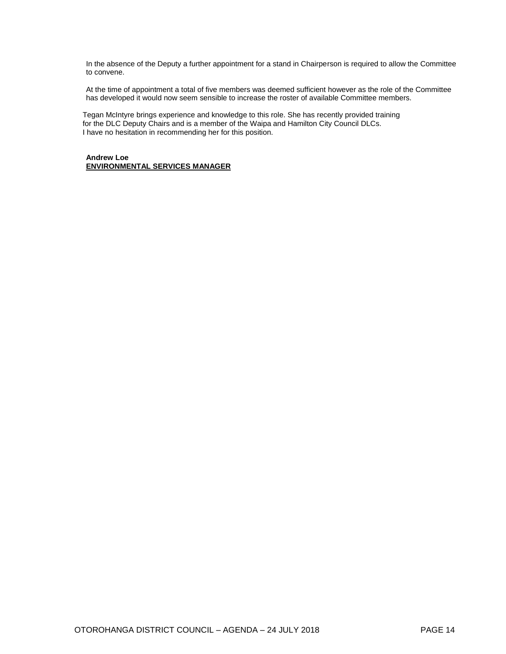In the absence of the Deputy a further appointment for a stand in Chairperson is required to allow the Committee to convene.

At the time of appointment a total of five members was deemed sufficient however as the role of the Committee has developed it would now seem sensible to increase the roster of available Committee members.

 Tegan McIntyre brings experience and knowledge to this role. She has recently provided training for the DLC Deputy Chairs and is a member of the Waipa and Hamilton City Council DLCs. I have no hesitation in recommending her for this position.

**Andrew Loe ENVIRONMENTAL SERVICES MANAGER**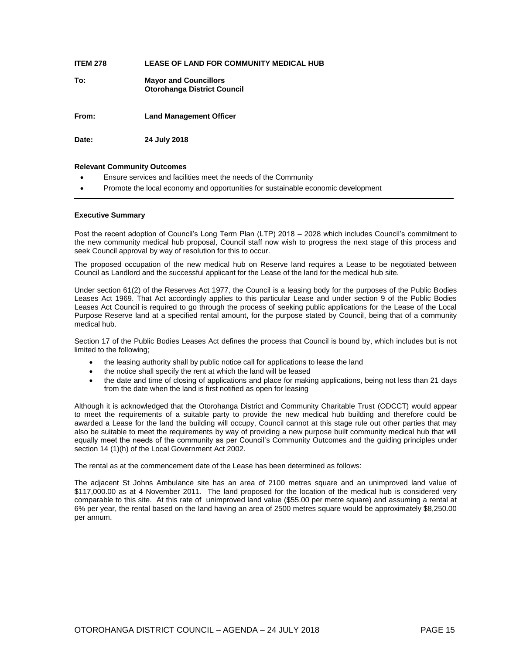## **ITEM 278 LEASE OF LAND FOR COMMUNITY MEDICAL HUB To: Mayor and Councillors Otorohanga District Council From: Land Management Officer Date: 24 July 2018**

#### **Relevant Community Outcomes**

- Ensure services and facilities meet the needs of the Community
- Promote the local economy and opportunities for sustainable economic development

#### **Executive Summary**

Post the recent adoption of Council's Long Term Plan (LTP) 2018 – 2028 which includes Council's commitment to the new community medical hub proposal, Council staff now wish to progress the next stage of this process and seek Council approval by way of resolution for this to occur.

The proposed occupation of the new medical hub on Reserve land requires a Lease to be negotiated between Council as Landlord and the successful applicant for the Lease of the land for the medical hub site.

Under section 61(2) of the Reserves Act 1977, the Council is a leasing body for the purposes of the Public Bodies Leases Act 1969. That Act accordingly applies to this particular Lease and under section 9 of the Public Bodies Leases Act Council is required to go through the process of seeking public applications for the Lease of the Local Purpose Reserve land at a specified rental amount, for the purpose stated by Council, being that of a community medical hub.

Section 17 of the Public Bodies Leases Act defines the process that Council is bound by, which includes but is not limited to the following;

- the leasing authority shall by public notice call for applications to lease the land
- the notice shall specify the rent at which the land will be leased
- the date and time of closing of applications and place for making applications, being not less than 21 days from the date when the land is first notified as open for leasing

Although it is acknowledged that the Otorohanga District and Community Charitable Trust (ODCCT) would appear to meet the requirements of a suitable party to provide the new medical hub building and therefore could be awarded a Lease for the land the building will occupy, Council cannot at this stage rule out other parties that may also be suitable to meet the requirements by way of providing a new purpose built community medical hub that will equally meet the needs of the community as per Council's Community Outcomes and the guiding principles under section 14 (1)(h) of the Local Government Act 2002.

The rental as at the commencement date of the Lease has been determined as follows:

The adjacent St Johns Ambulance site has an area of 2100 metres square and an unimproved land value of \$117,000.00 as at 4 November 2011. The land proposed for the location of the medical hub is considered very comparable to this site. At this rate of unimproved land value (\$55.00 per metre square) and assuming a rental at 6% per year, the rental based on the land having an area of 2500 metres square would be approximately \$8,250.00 per annum.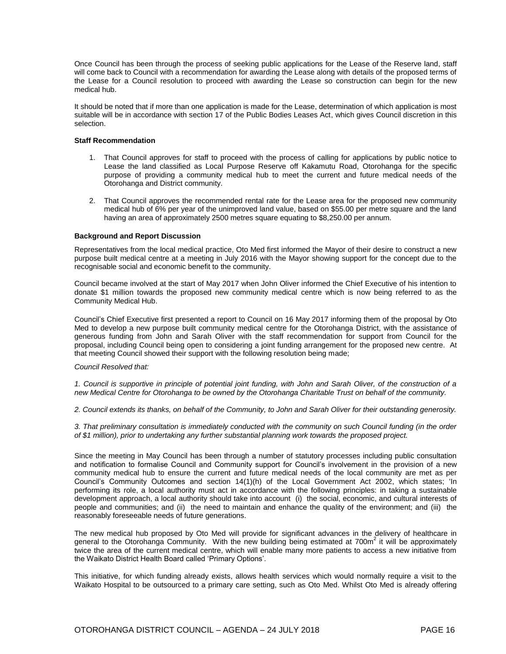Once Council has been through the process of seeking public applications for the Lease of the Reserve land, staff will come back to Council with a recommendation for awarding the Lease along with details of the proposed terms of the Lease for a Council resolution to proceed with awarding the Lease so construction can begin for the new medical hub.

It should be noted that if more than one application is made for the Lease, determination of which application is most suitable will be in accordance with section 17 of the Public Bodies Leases Act, which gives Council discretion in this selection.

#### **Staff Recommendation**

- 1. That Council approves for staff to proceed with the process of calling for applications by public notice to Lease the land classified as Local Purpose Reserve off Kakamutu Road, Otorohanga for the specific purpose of providing a community medical hub to meet the current and future medical needs of the Otorohanga and District community.
- 2. That Council approves the recommended rental rate for the Lease area for the proposed new community medical hub of 6% per year of the unimproved land value, based on \$55.00 per metre square and the land having an area of approximately 2500 metres square equating to \$8,250.00 per annum.

#### **Background and Report Discussion**

Representatives from the local medical practice, Oto Med first informed the Mayor of their desire to construct a new purpose built medical centre at a meeting in July 2016 with the Mayor showing support for the concept due to the recognisable social and economic benefit to the community.

Council became involved at the start of May 2017 when John Oliver informed the Chief Executive of his intention to donate \$1 million towards the proposed new community medical centre which is now being referred to as the Community Medical Hub.

Council's Chief Executive first presented a report to Council on 16 May 2017 informing them of the proposal by Oto Med to develop a new purpose built community medical centre for the Otorohanga District, with the assistance of generous funding from John and Sarah Oliver with the staff recommendation for support from Council for the proposal, including Council being open to considering a joint funding arrangement for the proposed new centre. At that meeting Council showed their support with the following resolution being made;

#### *Council Resolved that:*

*1. Council is supportive in principle of potential joint funding, with John and Sarah Oliver, of the construction of a new Medical Centre for Otorohanga to be owned by the Otorohanga Charitable Trust on behalf of the community.* 

*2. Council extends its thanks, on behalf of the Community, to John and Sarah Oliver for their outstanding generosity.* 

*3. That preliminary consultation is immediately conducted with the community on such Council funding (in the order of \$1 million), prior to undertaking any further substantial planning work towards the proposed project.* 

Since the meeting in May Council has been through a number of statutory processes including public consultation and notification to formalise Council and Community support for Council's involvement in the provision of a new community medical hub to ensure the current and future medical needs of the local community are met as per Council's Community Outcomes and section 14(1)(h) of the Local Government Act 2002, which states; 'In performing its role, a local authority must act in accordance with the following principles: in taking a sustainable development approach, a local authority should take into account (i) the social, economic, and cultural interests of people and communities; and (ii) the need to maintain and enhance the quality of the environment; and (iii) the reasonably foreseeable needs of future generations.

The new medical hub proposed by Oto Med will provide for significant advances in the delivery of healthcare in general to the Otorohanga Community. With the new building being estimated at 700m<sup>2</sup> it will be approximately twice the area of the current medical centre, which will enable many more patients to access a new initiative from the Waikato District Health Board called 'Primary Options'.

This initiative, for which funding already exists, allows health services which would normally require a visit to the Waikato Hospital to be outsourced to a primary care setting, such as Oto Med. Whilst Oto Med is already offering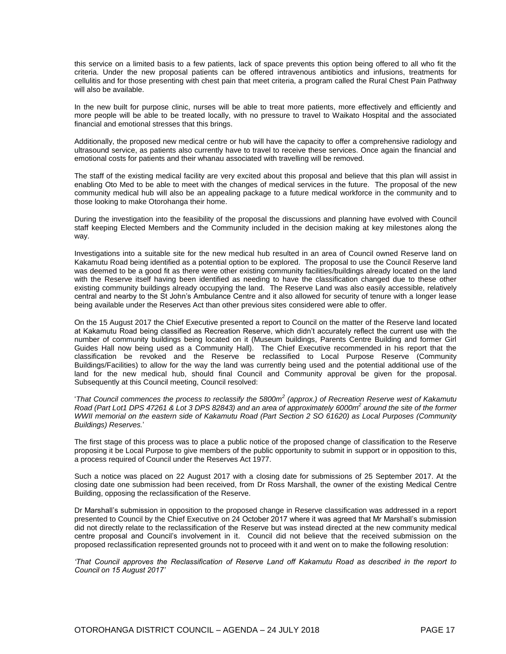this service on a limited basis to a few patients, lack of space prevents this option being offered to all who fit the criteria. Under the new proposal patients can be offered intravenous antibiotics and infusions, treatments for cellulitis and for those presenting with chest pain that meet criteria, a program called the Rural Chest Pain Pathway will also be available.

In the new built for purpose clinic, nurses will be able to treat more patients, more effectively and efficiently and more people will be able to be treated locally, with no pressure to travel to Waikato Hospital and the associated financial and emotional stresses that this brings.

Additionally, the proposed new medical centre or hub will have the capacity to offer a comprehensive radiology and ultrasound service, as patients also currently have to travel to receive these services. Once again the financial and emotional costs for patients and their whanau associated with travelling will be removed.

The staff of the existing medical facility are very excited about this proposal and believe that this plan will assist in enabling Oto Med to be able to meet with the changes of medical services in the future. The proposal of the new community medical hub will also be an appealing package to a future medical workforce in the community and to those looking to make Otorohanga their home.

During the investigation into the feasibility of the proposal the discussions and planning have evolved with Council staff keeping Elected Members and the Community included in the decision making at key milestones along the way.

Investigations into a suitable site for the new medical hub resulted in an area of Council owned Reserve land on Kakamutu Road being identified as a potential option to be explored. The proposal to use the Council Reserve land was deemed to be a good fit as there were other existing community facilities/buildings already located on the land with the Reserve itself having been identified as needing to have the classification changed due to these other existing community buildings already occupying the land. The Reserve Land was also easily accessible, relatively central and nearby to the St John's Ambulance Centre and it also allowed for security of tenure with a longer lease being available under the Reserves Act than other previous sites considered were able to offer.

On the 15 August 2017 the Chief Executive presented a report to Council on the matter of the Reserve land located at Kakamutu Road being classified as Recreation Reserve, which didn't accurately reflect the current use with the number of community buildings being located on it (Museum buildings, Parents Centre Building and former Girl Guides Hall now being used as a Community Hall). The Chief Executive recommended in his report that the classification be revoked and the Reserve be reclassified to Local Purpose Reserve (Community Buildings/Facilities) to allow for the way the land was currently being used and the potential additional use of the land for the new medical hub, should final Council and Community approval be given for the proposal. Subsequently at this Council meeting, Council resolved:

'*That Council commences the process to reclassify the 5800m<sup>2</sup> (approx.) of Recreation Reserve west of Kakamutu Road (Part Lot1 DPS 47261 & Lot 3 DPS 82843) and an area of approximately 6000m<sup>2</sup> around the site of the former WWII memorial on the eastern side of Kakamutu Road (Part Section 2 SO 61620) as Local Purposes (Community Buildings) Reserves.*'

The first stage of this process was to place a public notice of the proposed change of classification to the Reserve proposing it be Local Purpose to give members of the public opportunity to submit in support or in opposition to this, a process required of Council under the Reserves Act 1977.

Such a notice was placed on 22 August 2017 with a closing date for submissions of 25 September 2017. At the closing date one submission had been received, from Dr Ross Marshall, the owner of the existing Medical Centre Building, opposing the reclassification of the Reserve.

Dr Marshall's submission in opposition to the proposed change in Reserve classification was addressed in a report presented to Council by the Chief Executive on 24 October 2017 where it was agreed that Mr Marshall's submission did not directly relate to the reclassification of the Reserve but was instead directed at the new community medical centre proposal and Council's involvement in it. Council did not believe that the received submission on the proposed reclassification represented grounds not to proceed with it and went on to make the following resolution:

*'That Council approves the Reclassification of Reserve Land off Kakamutu Road as described in the report to Council on 15 August 2017'*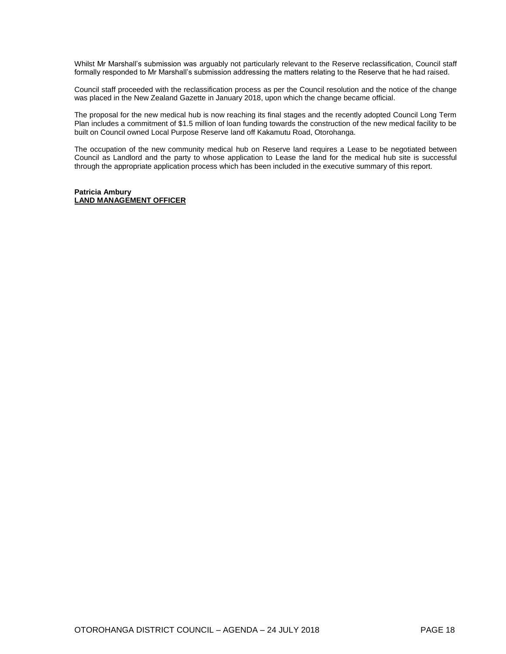Whilst Mr Marshall's submission was arguably not particularly relevant to the Reserve reclassification, Council staff formally responded to Mr Marshall's submission addressing the matters relating to the Reserve that he had raised.

Council staff proceeded with the reclassification process as per the Council resolution and the notice of the change was placed in the New Zealand Gazette in January 2018, upon which the change became official.

The proposal for the new medical hub is now reaching its final stages and the recently adopted Council Long Term Plan includes a commitment of \$1.5 million of loan funding towards the construction of the new medical facility to be built on Council owned Local Purpose Reserve land off Kakamutu Road, Otorohanga.

The occupation of the new community medical hub on Reserve land requires a Lease to be negotiated between Council as Landlord and the party to whose application to Lease the land for the medical hub site is successful through the appropriate application process which has been included in the executive summary of this report.

#### **Patricia Ambury LAND MANAGEMENT OFFICER**